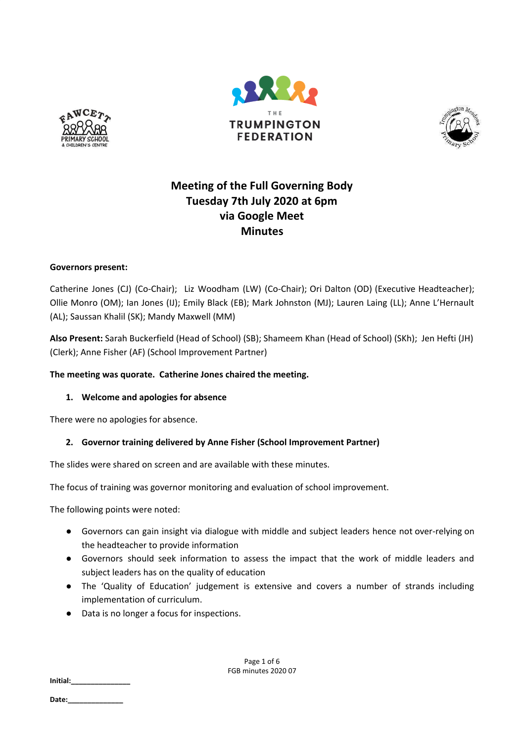





# **Meeting of the Full Governing Body Tuesday 7th July 2020 at 6pm via Google Meet Minutes**

## **Governors present:**

Catherine Jones (CJ) (Co-Chair); Liz Woodham (LW) (Co-Chair); Ori Dalton (OD) (Executive Headteacher); Ollie Monro (OM); Ian Jones (IJ); Emily Black (EB); Mark Johnston (MJ); Lauren Laing (LL); Anne L'Hernault (AL); Saussan Khalil (SK); Mandy Maxwell (MM)

**Also Present:** Sarah Buckerfield (Head of School) (SB); Shameem Khan (Head of School) (SKh); Jen Hefti (JH) (Clerk); Anne Fisher (AF) (School Improvement Partner)

## **The meeting was quorate. Catherine Jones chaired the meeting.**

# **1. Welcome and apologies for absence**

There were no apologies for absence.

# **2. Governor training delivered by Anne Fisher (School Improvement Partner)**

The slides were shared on screen and are available with these minutes.

The focus of training was governor monitoring and evaluation of school improvement.

The following points were noted:

- Governors can gain insight via dialogue with middle and subject leaders hence not over-relying on the headteacher to provide information
- Governors should seek information to assess the impact that the work of middle leaders and subject leaders has on the quality of education
- The 'Quality of Education' judgement is extensive and covers a number of strands including implementation of curriculum.
- Data is no longer a focus for inspections.

Page 1 of 6 FGB minutes 2020 07

**Initial:\_\_\_\_\_\_\_\_\_\_\_\_\_\_\_**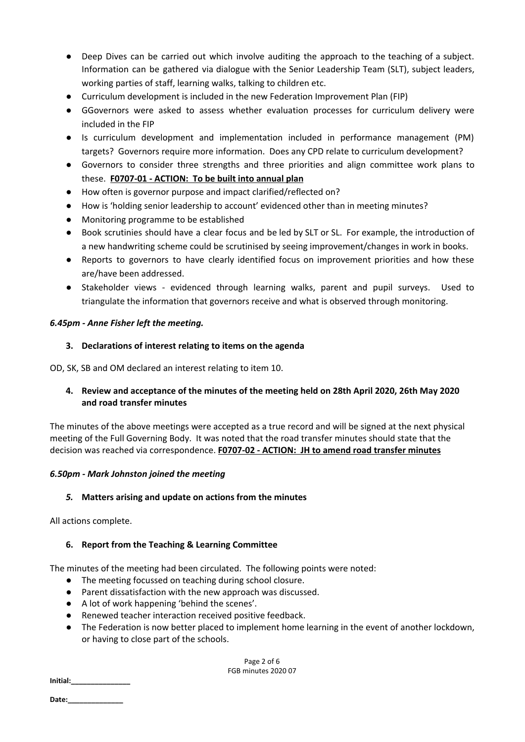- Deep Dives can be carried out which involve auditing the approach to the teaching of a subject. Information can be gathered via dialogue with the Senior Leadership Team (SLT), subject leaders, working parties of staff, learning walks, talking to children etc.
- Curriculum development is included in the new Federation Improvement Plan (FIP)
- GGovernors were asked to assess whether evaluation processes for curriculum delivery were included in the FIP
- Is curriculum development and implementation included in performance management (PM) targets? Governors require more information. Does any CPD relate to curriculum development?
- Governors to consider three strengths and three priorities and align committee work plans to these. **F0707-01 - ACTION: To be built into annual plan**
- How often is governor purpose and impact clarified/reflected on?
- How is 'holding senior leadership to account' evidenced other than in meeting minutes?
- Monitoring programme to be established
- Book scrutinies should have a clear focus and be led by SLT or SL. For example, the introduction of a new handwriting scheme could be scrutinised by seeing improvement/changes in work in books.
- Reports to governors to have clearly identified focus on improvement priorities and how these are/have been addressed.
- Stakeholder views evidenced through learning walks, parent and pupil surveys. Used to triangulate the information that governors receive and what is observed through monitoring.

## *6.45pm - Anne Fisher left the meeting.*

## **3. Declarations of interest relating to items on the agenda**

OD, SK, SB and OM declared an interest relating to item 10.

# **4. Review and acceptance of the minutes of the meeting held on 28th April 2020, 26th May 2020 and road transfer minutes**

The minutes of the above meetings were accepted as a true record and will be signed at the next physical meeting of the Full Governing Body. It was noted that the road transfer minutes should state that the decision was reached via correspondence. **F0707-02 - ACTION: JH to amend road transfer minutes**

#### *6.50pm - Mark Johnston joined the meeting*

# *5.* **Matters arising and update on actions from the minutes**

All actions complete.

# **6. Report from the Teaching & Learning Committee**

The minutes of the meeting had been circulated. The following points were noted:

- The meeting focussed on teaching during school closure.
- Parent dissatisfaction with the new approach was discussed.
- A lot of work happening 'behind the scenes'.
- Renewed teacher interaction received positive feedback.
- The Federation is now better placed to implement home learning in the event of another lockdown, or having to close part of the schools.

Page 2 of 6 FGB minutes 2020 07

**Initial:\_\_\_\_\_\_\_\_\_\_\_\_\_\_\_**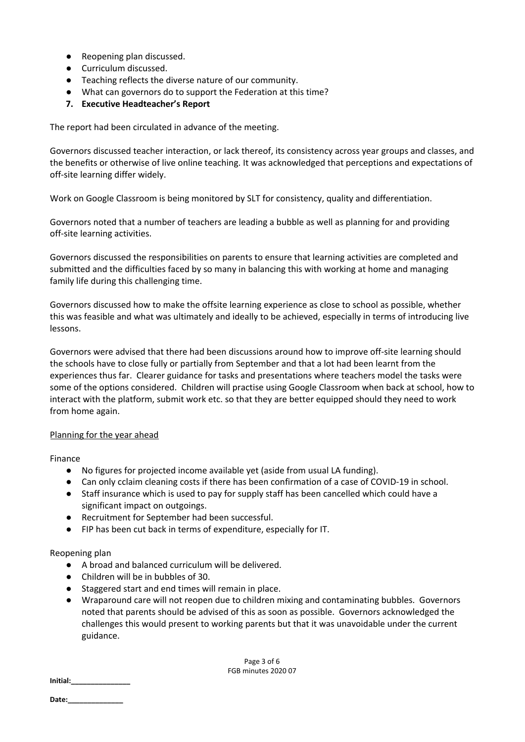- Reopening plan discussed.
- Curriculum discussed.
- Teaching reflects the diverse nature of our community.
- What can governors do to support the Federation at this time?
- **7. Executive Headteacher's Report**

The report had been circulated in advance of the meeting.

Governors discussed teacher interaction, or lack thereof, its consistency across year groups and classes, and the benefits or otherwise of live online teaching. It was acknowledged that perceptions and expectations of off-site learning differ widely.

Work on Google Classroom is being monitored by SLT for consistency, quality and differentiation.

Governors noted that a number of teachers are leading a bubble as well as planning for and providing off-site learning activities.

Governors discussed the responsibilities on parents to ensure that learning activities are completed and submitted and the difficulties faced by so many in balancing this with working at home and managing family life during this challenging time.

Governors discussed how to make the offsite learning experience as close to school as possible, whether this was feasible and what was ultimately and ideally to be achieved, especially in terms of introducing live lessons.

Governors were advised that there had been discussions around how to improve off-site learning should the schools have to close fully or partially from September and that a lot had been learnt from the experiences thus far. Clearer guidance for tasks and presentations where teachers model the tasks were some of the options considered. Children will practise using Google Classroom when back at school, how to interact with the platform, submit work etc. so that they are better equipped should they need to work from home again.

#### Planning for the year ahead

Finance

- No figures for projected income available yet (aside from usual LA funding).
- Can only cclaim cleaning costs if there has been confirmation of a case of COVID-19 in school.
- Staff insurance which is used to pay for supply staff has been cancelled which could have a significant impact on outgoings.
- Recruitment for September had been successful.
- FIP has been cut back in terms of expenditure, especially for IT.

#### Reopening plan

- A broad and balanced curriculum will be delivered.
- Children will be in bubbles of 30.
- Staggered start and end times will remain in place.
- Wraparound care will not reopen due to children mixing and contaminating bubbles. Governors noted that parents should be advised of this as soon as possible. Governors acknowledged the challenges this would present to working parents but that it was unavoidable under the current guidance.

Page 3 of 6 FGB minutes 2020 07

**Initial:\_\_\_\_\_\_\_\_\_\_\_\_\_\_\_**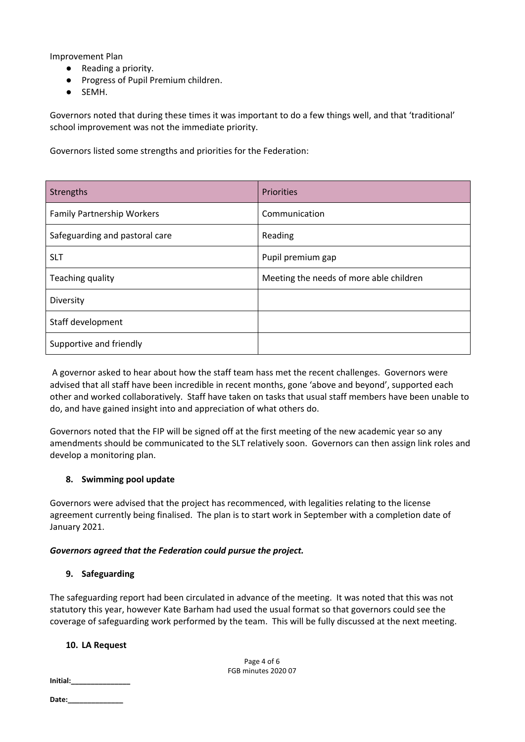Improvement Plan

- Reading a priority.
- Progress of Pupil Premium children.
- SEMH.

Governors noted that during these times it was important to do a few things well, and that 'traditional' school improvement was not the immediate priority.

Governors listed some strengths and priorities for the Federation:

| Strengths                         | Priorities                              |  |
|-----------------------------------|-----------------------------------------|--|
| <b>Family Partnership Workers</b> | Communication                           |  |
| Safeguarding and pastoral care    | Reading                                 |  |
| <b>SLT</b>                        | Pupil premium gap                       |  |
| Teaching quality                  | Meeting the needs of more able children |  |
| Diversity                         |                                         |  |
| Staff development                 |                                         |  |
| Supportive and friendly           |                                         |  |

A governor asked to hear about how the staff team hass met the recent challenges. Governors were advised that all staff have been incredible in recent months, gone 'above and beyond', supported each other and worked collaboratively. Staff have taken on tasks that usual staff members have been unable to do, and have gained insight into and appreciation of what others do.

Governors noted that the FIP will be signed off at the first meeting of the new academic year so any amendments should be communicated to the SLT relatively soon. Governors can then assign link roles and develop a monitoring plan.

# **8. Swimming pool update**

Governors were advised that the project has recommenced, with legalities relating to the license agreement currently being finalised. The plan is to start work in September with a completion date of January 2021.

# *Governors agreed that the Federation could pursue the project.*

# **9. Safeguarding**

The safeguarding report had been circulated in advance of the meeting. It was noted that this was not statutory this year, however Kate Barham had used the usual format so that governors could see the coverage of safeguarding work performed by the team. This will be fully discussed at the next meeting.

# **10. LA Request**

Page 4 of 6 FGB minutes 2020 07

**Date:\_\_\_\_\_\_\_\_\_\_\_\_\_\_**

**Initial:\_\_\_\_\_\_\_\_\_\_\_\_\_\_\_**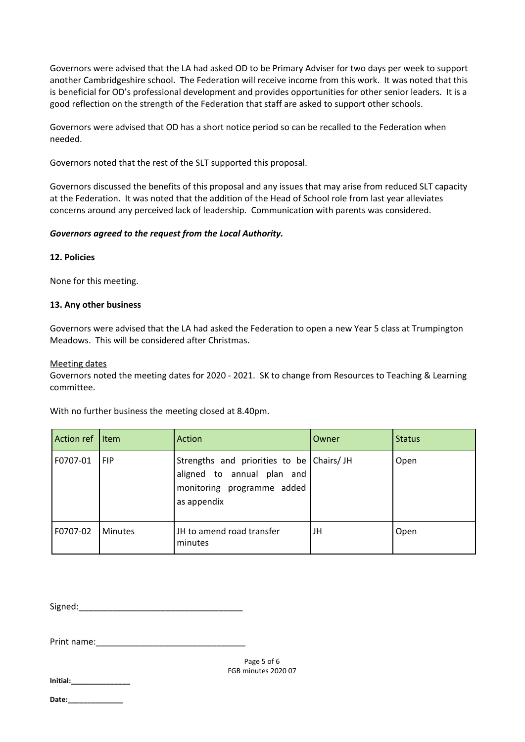Governors were advised that the LA had asked OD to be Primary Adviser for two days per week to support another Cambridgeshire school. The Federation will receive income from this work. It was noted that this is beneficial for OD's professional development and provides opportunities for other senior leaders. It is a good reflection on the strength of the Federation that staff are asked to support other schools.

Governors were advised that OD has a short notice period so can be recalled to the Federation when needed.

Governors noted that the rest of the SLT supported this proposal.

Governors discussed the benefits of this proposal and any issues that may arise from reduced SLT capacity at the Federation. It was noted that the addition of the Head of School role from last year alleviates concerns around any perceived lack of leadership. Communication with parents was considered.

## *Governors agreed to the request from the Local Authority.*

#### **12. Policies**

None for this meeting.

## **13. Any other business**

Governors were advised that the LA had asked the Federation to open a new Year 5 class at Trumpington Meadows. This will be considered after Christmas.

#### Meeting dates

Governors noted the meeting dates for 2020 - 2021. SK to change from Resources to Teaching & Learning committee.

With no further business the meeting closed at 8.40pm.

| Action ref | <b>l</b> Item  | Action                                                                                                              | Owner | <b>Status</b> |
|------------|----------------|---------------------------------------------------------------------------------------------------------------------|-------|---------------|
| F0707-01   | <b>FIP</b>     | Strengths and priorities to be Chairs/JH<br>aligned to annual plan and<br>monitoring programme added<br>as appendix |       | Open          |
| F0707-02   | <b>Minutes</b> | JH to amend road transfer<br>minutes                                                                                | JH    | Open          |

Signed:\_\_\_\_\_\_\_\_\_\_\_\_\_\_\_\_\_\_\_\_\_\_\_\_\_\_\_\_\_\_\_\_\_\_

Print name:

**Initial:\_\_\_\_\_\_\_\_\_\_\_\_\_\_\_**